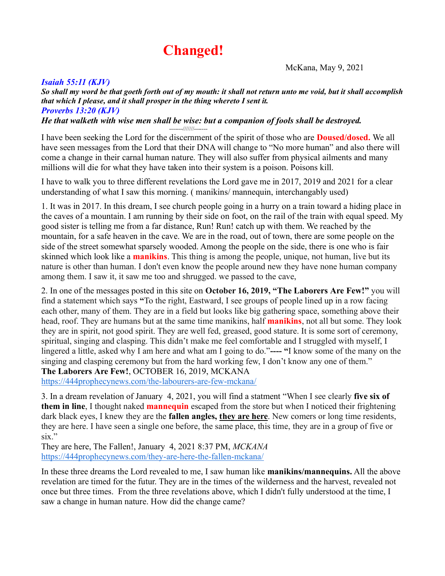# **Changed!**

McKana, May 9, 2021

## *Isaiah 55:11 (KJV)*

*So shall my word be that goeth forth out of my mouth: it shall not return unto me void, but it shall accomplish that which I please, and it shall prosper in the thing whereto I sent it. Proverbs 13:20 (KJV)*

*He that walketh with wise men shall be wise: but a companion of fools shall be destroyed.* -------///////-------

I have been seeking the Lord for the discernment of the spirit of those who are **Doused/dosed.** We all have seen messages from the Lord that their DNA will change to "No more human" and also there will come a change in their carnal human nature. They will also suffer from physical ailments and many millions will die for what they have taken into their system is a poison. Poisons kill.

I have to walk you to three different revelations the Lord gave me in 2017, 2019 and 2021 for a clear understanding of what I saw this morning. ( manikins/ mannequin, interchangably used)

1. It was in 2017. In this dream, I see church people going in a hurry on a train toward a hiding place in the caves of a mountain. I am running by their side on foot, on the rail of the train with equal speed. My good sister is telling me from a far distance, Run! Run! catch up with them. We reached by the mountain, for a safe heaven in the cave. We are in the road, out of town, there are some people on the side of the street somewhat sparsely wooded. Among the people on the side, there is one who is fair skinned which look like a **manikins**. This thing is among the people, unique, not human, live but its nature is other than human. I don't even know the people around new they have none human company among them. I saw it, it saw me too and shrugged. we passed to the cave,

2. In one of the messages posted in this site on **October 16, 2019, "The Laborers Are Few!"** you will find a statement which says **"**To the right, Eastward, I see groups of people lined up in a row facing each other, many of them. They are in a field but looks like big gathering space, something above their head, roof. They are humans but at the same time manikins, half **manikins**, not all but some. They look they are in spirit, not good spirit. They are well fed, greased, good stature. It is some sort of ceremony, spiritual, singing and clasping. This didn't make me feel comfortable and I struggled with myself, I lingered a little, asked why I am here and what am I going to do."**---- "**I know some of the many on the singing and clasping ceremony but from the hard working few, I don't know any one of them." **The Laborers Are Few!**, OCTOBER 16, 2019, MCKANA

<https://444prophecynews.com/the-labourers-are-few-mckana/>

3. In a dream revelation of January 4, 2021, you will find a statment "When I see clearly **five six of them in line**, I thought naked **mannequin** escaped from the store but when I noticed their frightening dark black eyes, I knew they are the **fallen angles, they are here**. New comers or long time residents, they are here. I have seen a single one before, the same place, this time, they are in a group of five or six."

They are here, The Fallen!, January 4, 2021 8:37 PM, *MCKANA* <https://444prophecynews.com/they-are-here-the-fallen-mckana/>

In these three dreams the Lord revealed to me, I saw human like **manikins/mannequins.** All the above revelation are timed for the futur. They are in the times of the wilderness and the harvest, revealed not once but three times. From the three revelations above, which I didn't fully understood at the time, I saw a change in human nature. How did the change came?